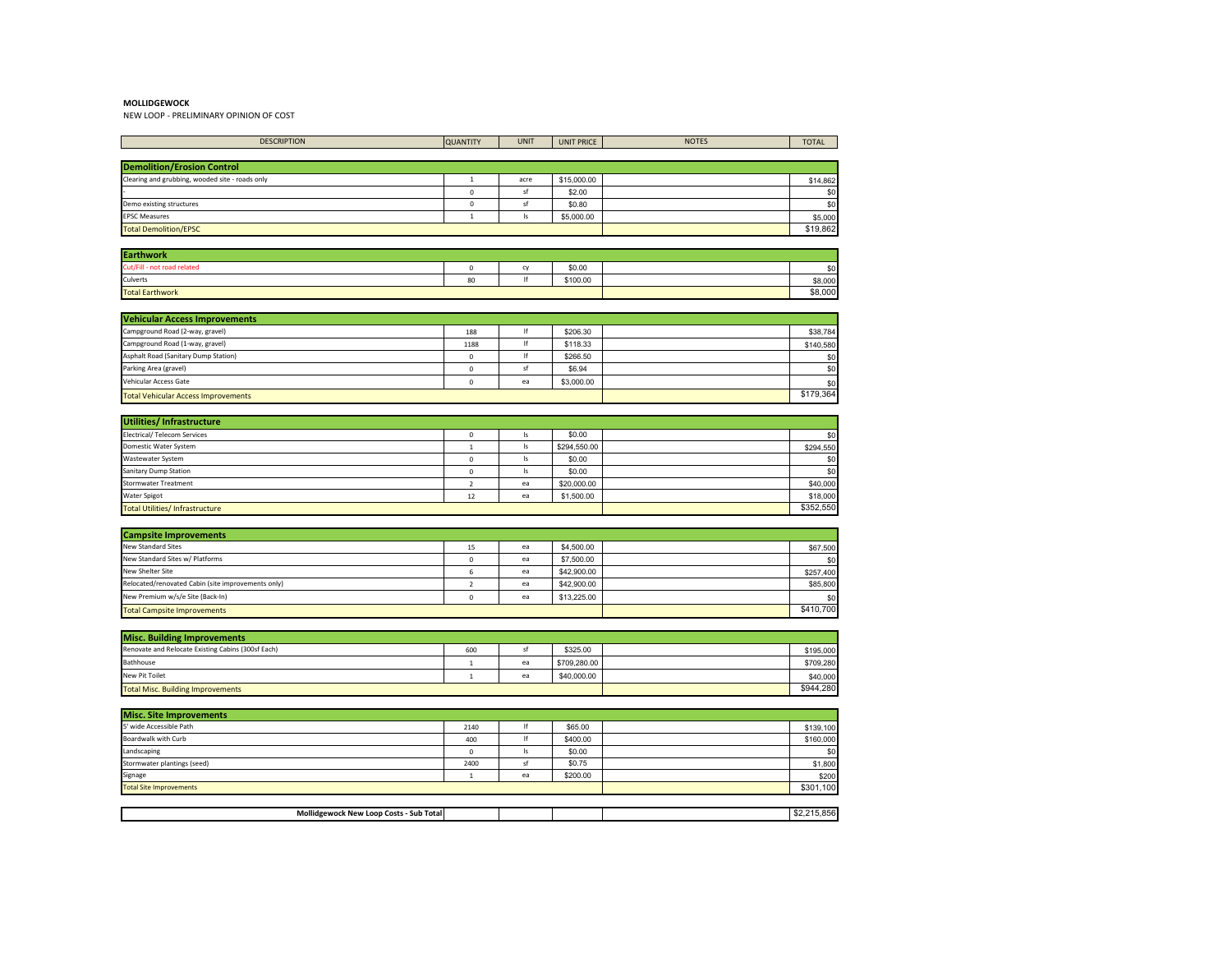NEW LOOP - PRELIMINARY OPINION OF COST

| <b>DESCRIPTION</b>                                 | <b>QUANTITY</b> | <b>UNIT</b>            | <b>UNIT PRICE</b> | <b>NOTES</b> | <b>TOTAL</b>     |
|----------------------------------------------------|-----------------|------------------------|-------------------|--------------|------------------|
|                                                    |                 |                        |                   |              |                  |
| <b>Demolition/Erosion Control</b>                  |                 |                        |                   |              |                  |
| Clearing and grubbing, wooded site - roads only    | $\mathbf 1$     | acre                   | \$15,000.00       |              | \$14,862         |
|                                                    | $\mathbf 0$     | sf                     | \$2.00            |              | \$0              |
| Demo existing structures                           | 0               | sf                     | \$0.80            |              | \$0              |
| <b>EPSC Measures</b>                               | $\mathbf{1}$    | Is                     | \$5,000.00        |              | \$5,000          |
| <b>Total Demolition/EPSC</b>                       |                 |                        |                   |              | \$19,862         |
| <b>Earthwork</b>                                   |                 |                        |                   |              |                  |
| Cut/Fill - not road related                        | $\mathbf 0$     | cy                     | \$0.00            |              | \$0              |
| Culverts                                           | 80              | If                     | \$100.00          |              | \$8,000          |
| <b>Total Earthwork</b>                             |                 |                        |                   |              | \$8,000          |
|                                                    |                 |                        |                   |              |                  |
| <b>Vehicular Access Improvements</b>               |                 |                        |                   |              |                  |
| Campground Road (2-way, gravel)                    | 188             | If                     | \$206.30          |              | \$38,784         |
| Campground Road (1-way, gravel)                    | 1188            | If                     | \$118.33          |              | \$140,580        |
| Asphalt Road (Sanitary Dump Station)               | $\mathbf 0$     | lf                     | \$266.50          |              | \$0              |
| Parking Area (gravel)                              | $\mathbf 0$     | sf                     | \$6.94            |              | \$0              |
| Vehicular Access Gate                              | $\mathbf 0$     | ea                     | \$3,000.00        |              | \$0              |
| <b>Total Vehicular Access Improvements</b>         |                 |                        |                   |              | \$179,364        |
|                                                    |                 |                        |                   |              |                  |
| Utilities/Infrastructure                           |                 |                        |                   |              |                  |
| <b>Electrical/ Telecom Services</b>                | $\mathbf 0$     | Is                     | \$0.00            |              | \$0              |
| Domestic Water System                              | $1\,$           | Is                     | \$294,550.00      |              | \$294,550        |
| Wastewater System                                  | $\mathbf 0$     | $\sf ls$               | \$0.00            |              | \$0              |
| Sanitary Dump Station                              | $\pmb{0}$       | $\mathsf{I}\mathsf{s}$ | \$0.00            |              | \$0              |
| Stormwater Treatment                               | $\overline{2}$  | ea                     | \$20,000.00       |              | \$40,000         |
| Water Spigot                                       | 12              | ea                     | \$1,500.00        |              | \$18,000         |
| <b>Total Utilities/Infrastructure</b>              |                 |                        |                   |              | \$352,550        |
| <b>Campsite Improvements</b>                       |                 |                        |                   |              |                  |
| <b>New Standard Sites</b>                          | 15              | ea                     | \$4,500.00        |              | \$67,500         |
| New Standard Sites w/ Platforms                    | $\mathbf 0$     | ea                     | \$7,500.00        |              | \$0              |
| New Shelter Site                                   | $\sf 6$         | ea                     | \$42,900.00       |              | \$257,400        |
| Relocated/renovated Cabin (site improvements only) | $\overline{2}$  | ea                     | \$42,900.00       |              | \$85,800         |
| New Premium w/s/e Site (Back-In)                   | $\mathbf 0$     | ea                     | \$13,225.00       |              |                  |
|                                                    |                 |                        |                   |              | \$0<br>\$410,700 |
| <b>Total Campsite Improvements</b>                 |                 |                        |                   |              |                  |
| <b>Misc. Building Improvements</b>                 |                 |                        |                   |              |                  |
| Renovate and Relocate Existing Cabins (300sf Each) | 600             | sf                     | \$325.00          |              | \$195,000        |
| Bathhouse                                          | $\mathbf 1$     | ea                     | \$709,280.00      |              | \$709,280        |
| New Pit Toilet                                     | $\,$ 1 $\,$     | ea                     | \$40,000.00       |              | \$40,000         |
| <b>Total Misc. Building Improvements</b>           |                 |                        |                   |              | \$944,280        |
|                                                    |                 |                        |                   |              |                  |
| <b>Misc. Site Improvements</b>                     |                 |                        |                   |              |                  |
| 5' wide Accessible Path                            | 2140            | If                     | \$65.00           |              | \$139,100        |
| Boardwalk with Curb                                | 400             | lf                     | \$400.00          |              | \$160,000        |
| Landscaping                                        | $\mathbf 0$     | Is                     | \$0.00            |              | \$0              |
| Stormwater plantings (seed)                        | 2400            | sf                     | \$0.75            |              | \$1,800          |
| Signage                                            | $\mathbf 1$     | ea                     | \$200.00          |              | \$200            |
| <b>Total Site Improvements</b>                     |                 |                        |                   |              | \$301,100        |

| <br>- Sub Totall<br>woc<br>rnst.<br>$\sim$<br>100D |  |  |  |
|----------------------------------------------------|--|--|--|
|                                                    |  |  |  |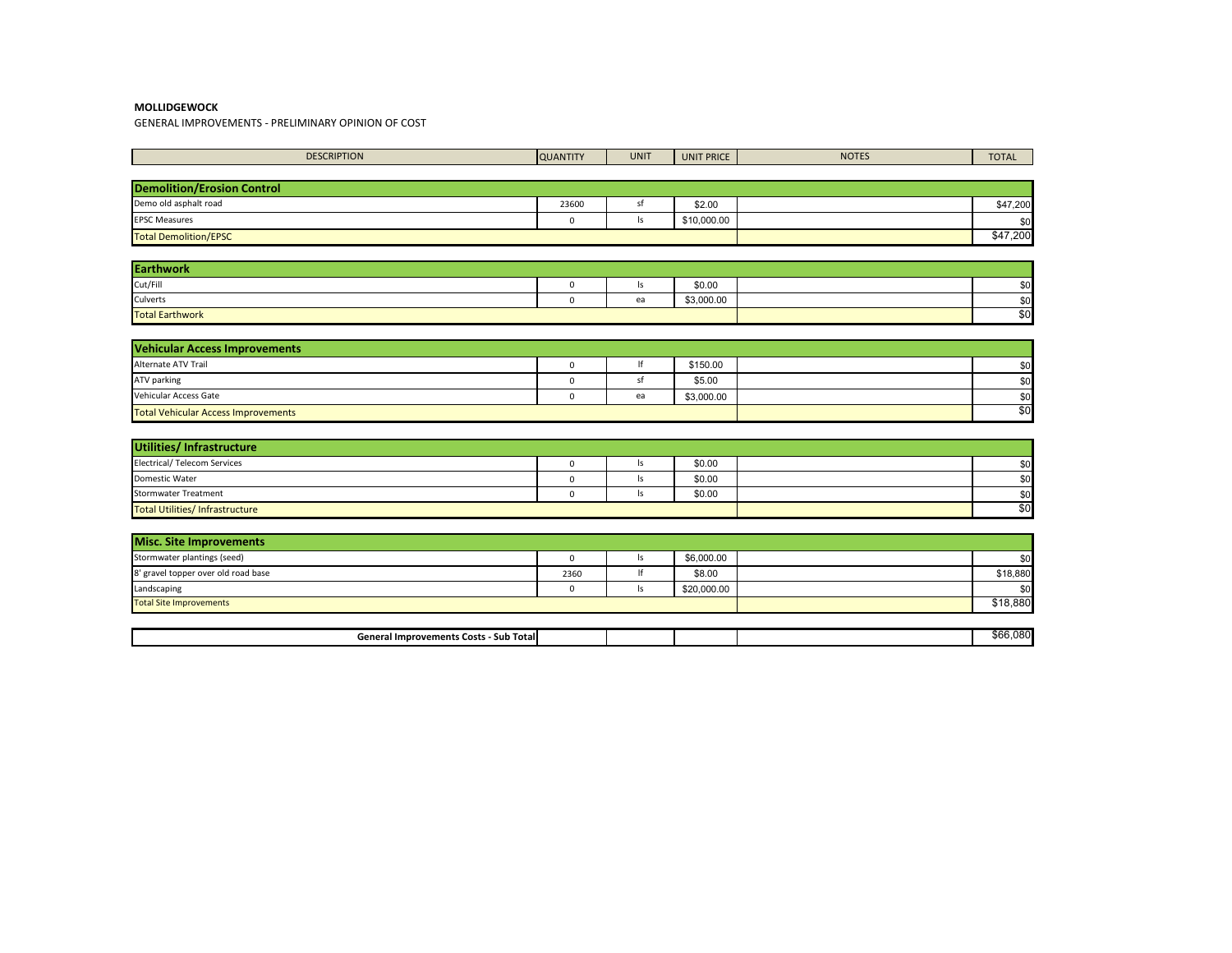GENERAL IMPROVEMENTS - PRELIMINARY OPINION OF COST

| <b>DESCRIPTION</b>                         | <b>QUANTITY</b> | <b>UNIT</b>   | <b>UNIT PRICE</b> | <b>NOTES</b> | <b>TOTAL</b> |
|--------------------------------------------|-----------------|---------------|-------------------|--------------|--------------|
|                                            |                 |               |                   |              |              |
| <b>Demolition/Erosion Control</b>          |                 |               |                   |              |              |
| Demo old asphalt road                      | 23600           | sf            | \$2.00            |              | \$47,200     |
| <b>EPSC Measures</b>                       | $\mathbf 0$     | $\mathsf{ls}$ | \$10,000.00       |              | \$0          |
| <b>Total Demolition/EPSC</b>               |                 |               |                   |              | \$47,200     |
|                                            |                 |               |                   |              |              |
| <b>Earthwork</b>                           |                 |               |                   |              |              |
| Cut/Fill                                   | $\mathsf 0$     | ls            | \$0.00            |              | \$0          |
| Culverts                                   | $\mathbf 0$     | ea            | \$3,000.00        |              | \$0          |
| <b>Total Earthwork</b>                     |                 |               |                   |              | \$0          |
|                                            |                 |               |                   |              |              |
| <b>Vehicular Access Improvements</b>       |                 |               |                   |              |              |
| Alternate ATV Trail                        | $\mathbf 0$     | lf            | \$150.00          |              | \$0          |
| ATV parking                                | $\mathbf 0$     | sf            | \$5.00            |              | \$0          |
| Vehicular Access Gate                      | $\mathbf 0$     | ea            | \$3,000.00        |              | \$0          |
| <b>Total Vehicular Access Improvements</b> |                 | \$0           |                   |              |              |
|                                            |                 |               |                   |              |              |
| Utilities/Infrastructure                   |                 |               |                   |              |              |
| <b>Electrical/ Telecom Services</b>        | $\mathbf 0$     | $\mathsf{ls}$ | \$0.00            |              | \$0          |
| Domestic Water                             | $\mathsf 0$     | $\mathsf{ls}$ | \$0.00            |              | \$0          |
| <b>Stormwater Treatment</b>                | $\mathbf 0$     | $\vert$ s     | \$0.00            |              | \$0          |
| <b>Total Utilities/Infrastructure</b>      |                 |               |                   |              | \$0          |
|                                            |                 |               |                   |              |              |
| <b>Misc. Site Improvements</b>             |                 |               |                   |              |              |
| Stormwater plantings (seed)                | $\mathbf 0$     | $\mathsf{ls}$ | \$6,000.00        |              | \$0          |
| 8' gravel topper over old road base        | 2360            | lf            | \$8.00            |              | \$18,880     |
| Landscaping                                | $\mathsf 0$     | $\mathsf{ls}$ | \$20,000.00       |              | \$0          |
| <b>Total Site Improvements</b>             |                 |               |                   |              | \$18,880     |
|                                            |                 |               |                   |              |              |
| General Improvements Costs - Sub Total     |                 |               |                   |              | \$66,080     |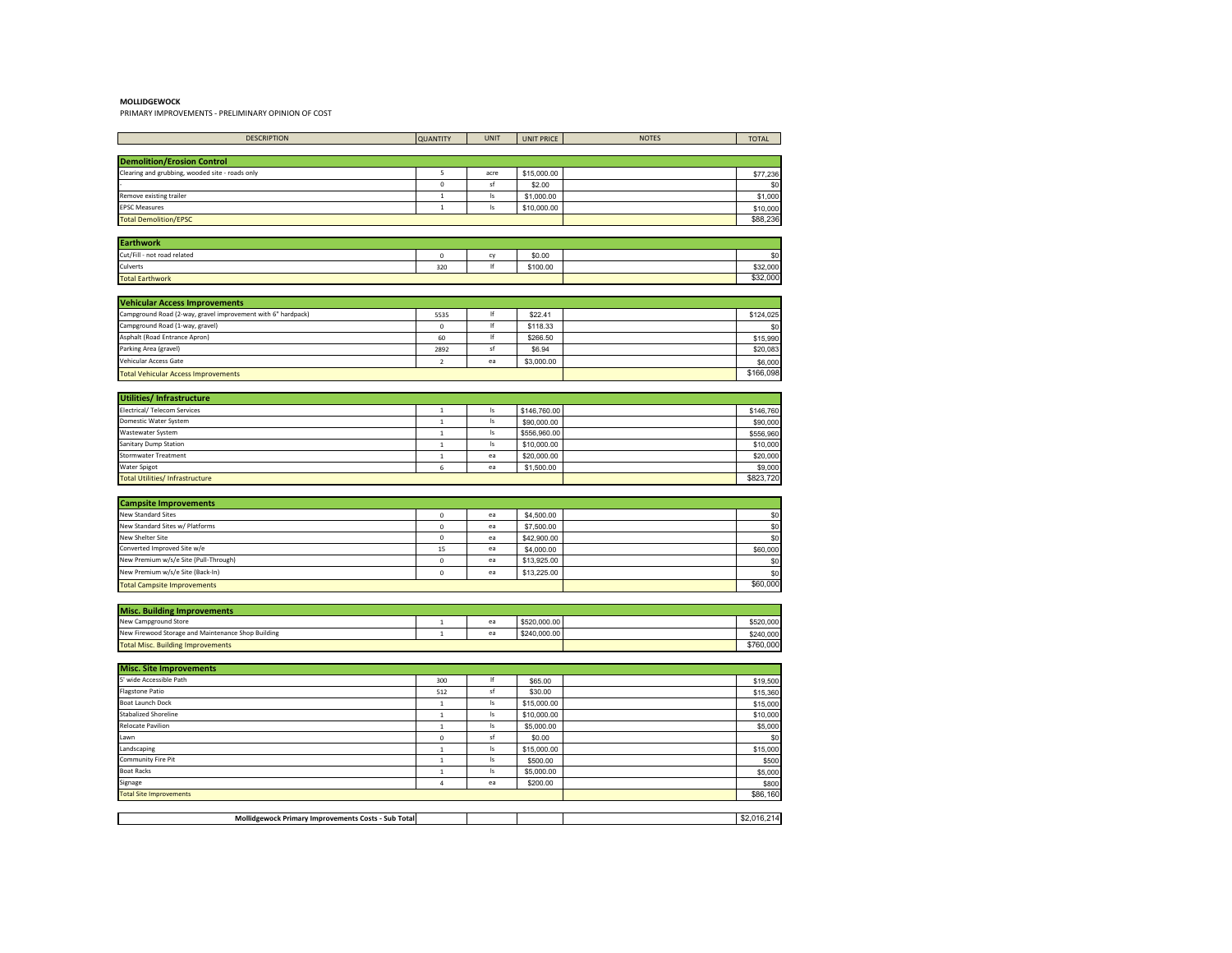PRIMARY IMPROVEMENTS - PRELIMINARY OPINION OF COST

| <b>DESCRIPTION</b>                                                                                   | <b>QUANTITY</b>  | <b>UNIT</b>   | <b>UNIT PRICE</b>  | <b>NOTES</b> | <b>TOTAL</b>         |
|------------------------------------------------------------------------------------------------------|------------------|---------------|--------------------|--------------|----------------------|
|                                                                                                      |                  |               |                    |              |                      |
| <b>Demolition/Erosion Control</b>                                                                    |                  |               |                    |              |                      |
| Clearing and grubbing, wooded site - roads only                                                      | 5                | acre          | \$15,000.00        |              | \$77,236             |
|                                                                                                      | $\pmb{0}$        | sf            | \$2.00             |              | \$0                  |
| Remove existing trailer                                                                              | $\,1\,$          | Is            | \$1,000.00         |              | \$1,000              |
| <b>PSC Measures</b>                                                                                  | $\,$ 1 $\,$      | Is            | \$10,000.00        |              | \$10,000             |
| <b>Total Demolition/EPSC</b>                                                                         |                  |               |                    |              | \$88,236             |
| Earthwork                                                                                            |                  |               |                    |              |                      |
| Cut/Fill - not road related                                                                          | $\mathsf 0$      | cy            | \$0.00             |              | \$0                  |
| Culverts                                                                                             | 320              | lf            | \$100.00           |              | \$32,000             |
| <b>Total Earthwork</b>                                                                               |                  |               |                    |              | \$32,000             |
|                                                                                                      |                  |               |                    |              |                      |
| <b>Vehicular Access Improvements</b><br>Campground Road (2-way, gravel improvement with 6" hardpack) |                  | lf            | \$22.41            |              |                      |
|                                                                                                      | 5535             | lf            |                    |              | \$124,025            |
| Campground Road (1-way, gravel)<br>Asphalt (Road Entrance Apron)                                     | $\mathbf 0$      | lf            | \$118.33           |              | \$0                  |
| Parking Area (gravel)                                                                                | 60<br>2892       | sf            | \$266.50<br>\$6.94 |              | \$15,990             |
| /ehicular Access Gate                                                                                | $\overline{2}$   | ea            | \$3,000.00         |              | \$20,083             |
| <b>Total Vehicular Access Improvements</b>                                                           |                  |               |                    |              | \$6,000<br>\$166,098 |
|                                                                                                      |                  |               |                    |              |                      |
| Utilities/ Infrastructure                                                                            |                  |               |                    |              |                      |
| Electrical/ Telecom Services                                                                         | $\,1\,$          | Is            | \$146,760.00       |              | \$146,760            |
| Domestic Water System                                                                                | $\,1\,$          | $\mathsf{Is}$ | \$90,000.00        |              | \$90,000             |
| Wastewater System                                                                                    | $\,1\,$          | Is            | \$556,960.00       |              | \$556,960            |
| Sanitary Dump Station                                                                                | $\,$ 1 $\,$      | Is            | \$10,000.00        |              | \$10,000             |
| Stormwater Treatment                                                                                 | $\,$ 1 $\,$      | ea            | \$20,000.00        |              | \$20,000             |
| Water Spigot<br><b>Fotal Utilities/Infrastructure</b>                                                | $\boldsymbol{6}$ | ea            | \$1,500.00         |              | \$9,000<br>\$823,720 |
|                                                                                                      |                  |               |                    |              |                      |
| <b>Campsite Improvements</b>                                                                         |                  |               |                    |              |                      |
| New Standard Sites                                                                                   | $\mathsf{o}\,$   | ea            | \$4,500.00         |              | \$0                  |
| New Standard Sites w/ Platforms                                                                      | $\mathbf 0$      | ea            | \$7,500.00         |              | \$0                  |
| New Shelter Site                                                                                     | $\mathsf{o}\,$   | ea            | \$42,900.00        |              | \$0                  |
| Converted Improved Site w/e                                                                          | 15               | ea            | \$4,000.00         |              | \$60,000             |
| New Premium w/s/e Site (Pull-Through)                                                                | $\mathsf{o}\,$   | ea            | \$13,925.00        |              | \$0                  |
| New Premium w/s/e Site (Back-In)                                                                     | $\mathbf 0$      | ea            | \$13,225.00        |              | \$0                  |
| <b>Total Campsite Improvements</b>                                                                   |                  |               |                    |              | \$60,000             |
|                                                                                                      |                  |               |                    |              |                      |
| <b>Misc. Building Improvements</b>                                                                   |                  |               |                    |              |                      |
| New Campground Store                                                                                 | $\,1\,$          | ea            | \$520,000.00       |              | \$520,000            |
| New Firewood Storage and Maintenance Shop Building                                                   | $\,1\,$          | ea            | \$240,000.00       |              | \$240,000            |
| <b>Total Misc. Building Improvements</b>                                                             |                  |               |                    |              | \$760,000            |
| <b>Misc. Site Improvements</b>                                                                       |                  |               |                    |              |                      |
| <sup>5</sup> ' wide Accessible Path                                                                  | 300              | lf            | \$65.00            |              | \$19,500             |
| Flagstone Patio                                                                                      | 512              | $\sf sf$      | \$30.00            |              | \$15,360             |
| <b>Boat Launch Dock</b>                                                                              | $\,$ 1 $\,$      | $\sf ls$      | \$15,000.00        |              | \$15,000             |
| Stabalized Shoreline                                                                                 | $\,$ 1 $\,$      | Is            | \$10,000.00        |              | \$10,000             |
| Relocate Pavilion                                                                                    | $\mathbf{1}$     | Is            | \$5,000.00         |              | \$5,000              |
| awn                                                                                                  | $\mathbf 0$      | sf            | \$0.00             |              | \$0                  |
| andscaping                                                                                           | $\,1\,$          | $\mathsf{Is}$ | \$15,000.00        |              | \$15,000             |
| Community Fire Pit                                                                                   | $\,$ 1 $\,$      | $\mathsf{Is}$ | \$500.00           |              | \$500                |
| <b>Boat Racks</b>                                                                                    | $\,$ 1 $\,$      | Is            | \$5,000.00         |              | \$5,000              |
| ignage                                                                                               | $\overline{4}$   | ea            | \$200.00           |              | \$800                |
| <b>Total Site Improvements</b>                                                                       |                  |               |                    |              | \$86,160             |
|                                                                                                      |                  |               |                    |              |                      |
| Mollidgewock Primary Improvements Costs - Sub Total                                                  |                  |               |                    |              | \$2,016,214          |
|                                                                                                      |                  |               |                    |              |                      |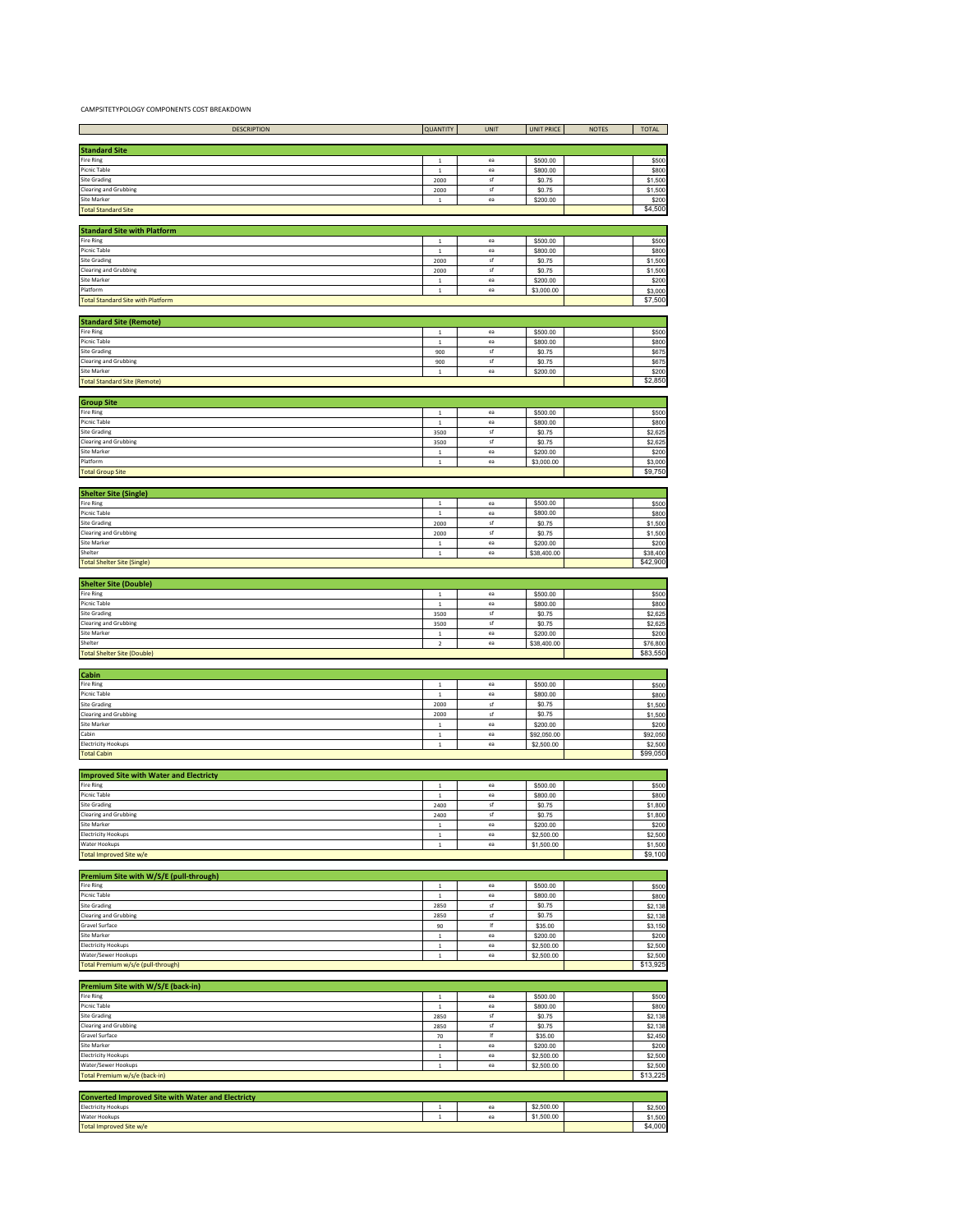CAMPSITETYPOLOGY COMPONENTS COST BREAKDOWN

| <b>DESCRIPTION</b>                                                 | QUANTITY              | <b>UNIT</b> | <b>UNIT PRICE</b>        | <b>NOTES</b> | <b>TOTAL</b>       |
|--------------------------------------------------------------------|-----------------------|-------------|--------------------------|--------------|--------------------|
|                                                                    |                       |             |                          |              |                    |
| <b>Standard Site</b>                                               |                       |             |                          |              |                    |
| Fire Ring                                                          | $\,$ 1 $\,$           | ea          | \$500.00                 |              | \$500              |
| Picnic Table                                                       | $\,$ 1 $\,$           | ea          | \$800.00                 |              | \$800              |
| Site Grading                                                       | 2000                  | sf          | \$0.75                   |              | \$1,500            |
| <b>Clearing and Grubbing</b>                                       | 2000                  | $\sf sf$    | \$0.75                   |              | \$1,500            |
| Site Marker                                                        | $\,$ 1 $\,$           | $_{\rm ea}$ | \$200.00                 |              | \$200              |
| <b>Total Standard Site</b>                                         |                       |             |                          |              | \$4,500            |
|                                                                    |                       |             |                          |              |                    |
| <b>Standard Site with Platform</b><br>Fire Ring                    |                       | ea          |                          |              |                    |
| Picnic Table                                                       | $\,$ 1                | ea          | \$500.00                 |              | \$500<br>\$800     |
| <b>Site Grading</b>                                                | $\,$ 1 $\,$<br>2000   | sf          | \$800.00<br>\$0.75       |              | \$1,500            |
| <b>Clearing and Grubbing</b>                                       | 2000                  | $\sf{sf}$   | \$0.75                   |              | \$1,500            |
| <b>Site Marker</b>                                                 | $\mathbf 1$           | ea          | \$200.00                 |              | \$200              |
| Platform                                                           | $\,$ 1                | ea          | \$3,000.00               |              | \$3,000            |
| <b>Total Standard Site with Platform</b>                           |                       |             |                          |              | \$7,500            |
|                                                                    |                       |             |                          |              |                    |
| <b>Standard Site (Remote)</b>                                      |                       |             |                          |              |                    |
| Fire Ring                                                          | $\mathbf{1}$          | ea          | \$500.00                 |              | \$500              |
| Picnic Table                                                       | $\mathbf 1$           | ea          | \$800.00                 |              | \$800              |
| <b>Site Grading</b>                                                | 900                   | sf          | \$0.75                   |              | \$675              |
| <b>Clearing and Grubbing</b>                                       | 900                   | sf          | \$0.75                   |              | \$67               |
| Site Marker<br><b>Total Standard Site (Remote)</b>                 | $\,$ 1 $\,$           | ea          | \$200.00                 |              | \$200<br>\$2,850   |
|                                                                    |                       |             |                          |              |                    |
| <b>Group Site</b>                                                  |                       |             |                          |              |                    |
| Fire Ring                                                          | $\,$ 1 $\,$           | ea          | \$500.00                 |              | \$500              |
| Picnic Table                                                       | $\mathbf{1}$          | ea          | \$800.00                 |              | \$800              |
| Site Grading                                                       | 3500                  | sf          | \$0.75                   |              | \$2,625            |
| <b>Clearing and Grubbing</b>                                       | 3500                  | sf          | \$0.75                   |              | \$2,625            |
| <b>Site Marker</b>                                                 | $\,$ 1 $\,$           | ea          | \$200.00                 |              | \$200              |
| Platform                                                           | $\,$ 1 $\,$           | ea          | \$3,000.00               |              | \$3,000            |
| <b>Total Group Site</b>                                            |                       |             |                          |              | \$9,750            |
|                                                                    |                       |             |                          |              |                    |
| <b>Shelter Site (Single)</b>                                       |                       |             |                          |              |                    |
| Fire Ring                                                          | $\,$ 1 $\,$           | ea          | \$500.00                 |              | \$500              |
| Picnic Table                                                       | $\,$ 1 $\,$           | ea          | \$800.00                 |              | \$800              |
| Site Grading<br><b>Clearing and Grubbing</b>                       | 2000                  | sf<br>sf    | \$0.75                   |              | \$1,500            |
| <b>Site Marker</b>                                                 | 2000<br>$\,$ 1        | ea          | \$0.75<br>\$200.00       |              | \$1,500<br>\$200   |
| Shelter                                                            | $\,$ 1 $\,$           | ea          | \$38,400.00              |              | \$38,400           |
| <b>Total Shelter Site (Single)</b>                                 |                       |             |                          |              | \$42,900           |
|                                                                    |                       |             |                          |              |                    |
| <b>Shelter Site (Double)</b>                                       |                       |             |                          |              |                    |
| Fire Ring                                                          | $\,$ 1 $\,$           | ea          | \$500.00                 |              | \$500              |
| Picnic Table                                                       | $\,1\,$               | ea          | \$800.00                 |              | \$800              |
| Site Grading                                                       | 3500                  | sf          | \$0.75                   |              | \$2,625            |
| <b>Clearing and Grubbing</b>                                       | 3500                  | sf          | \$0.75                   |              | \$2,625            |
| Site Marker                                                        | $\,$ 1 $\,$           | ea          | \$200.00                 |              | \$200              |
| Shelter                                                            | $\,2\,$               | ea          | \$38,400.00              |              | \$76,800           |
| <b>Total Shelter Site (Double)</b>                                 |                       |             |                          |              | \$83,550           |
|                                                                    |                       |             |                          |              |                    |
| Cabin<br>Fire Ring                                                 | $\,$ 1                | ea          | \$500.00                 |              | \$500              |
| Picnic Table                                                       | $\,$ 1 $\,$           | $_{\rm ea}$ | \$800.00                 |              | \$800              |
| <b>Site Grading</b>                                                | 2000                  | sf          | \$0.75                   |              | \$1,500            |
| <b>Clearing and Grubbing</b>                                       | 2000                  | sf          | \$0.75                   |              | \$1,500            |
| Site Marker                                                        | $\mathbf{1}$          | ea          | \$200.00                 |              | \$200              |
| Cabin                                                              | $\,$ 1                | ea          | \$92,050.00              |              | \$92,050           |
| Electricity Hookups                                                | $\,$ 1 $\,$           | ea          | \$2,500.00               |              | \$2,500            |
| <b>Total Cabin</b>                                                 |                       |             |                          |              | \$99,050           |
|                                                                    |                       |             |                          |              |                    |
| <b>Improved Site with Water and Electricty</b><br><b>Fire Ring</b> |                       | ea          |                          |              |                    |
| Picnic Table                                                       | $\,1\,$<br>$\,1\,$    | ea          | \$500.00<br>\$800.00     |              | \$500<br>\$800     |
| <b>Site Grading</b>                                                | 2400                  | sf          | \$0.75                   |              | \$1,800            |
| <b>Clearing and Grubbing</b>                                       | 2400                  | sf          | \$0.75                   |              | \$1,800            |
| Site Marker                                                        | $\,$ 1 $\,$           | ea          | \$200.00                 |              | \$200              |
| <b>Electricity Hookups</b>                                         | $\,$ 1 $\,$           | $_{\rm ea}$ | \$2,500.00               |              | \$2,500            |
| Water Hookups                                                      | $\,$ 1 $\,$           | ea          | \$1,500.00               |              | \$1,500            |
| <b>Total Improved Site w/e</b>                                     |                       |             |                          |              | \$9,100            |
|                                                                    |                       |             |                          |              |                    |
| Premium Site with W/S/E (pull-through)                             |                       |             |                          |              |                    |
| Fire Ring                                                          | $\,$ 1 $\,$           | $_{\rm ea}$ | \$500.00                 |              | \$500              |
| Picnic Table                                                       | $\,$ 1 $\,$           | ea          | \$800.00                 |              | \$800              |
| <b>Site Grading</b><br><b>Clearing and Grubbing</b>                | 2850<br>2850          | sf<br>sf    | \$0.75<br>\$0.75         |              | \$2,138<br>\$2,138 |
| Gravel Surface                                                     | 90                    | If          | \$35.00                  |              | \$3,150            |
| <b>Site Marker</b>                                                 | $\,1\,$               | ea          | \$200.00                 |              | \$200              |
| <b>Electricity Hookups</b>                                         | $\,$ 1 $\,$           | ea          | \$2,500.00               |              | \$2,500            |
| Water/Sewer Hookups                                                | $\,$ 1 $\,$           | ea          | \$2,500.00               |              | \$2,500            |
| Total Premium w/s/e (pull-through)                                 |                       |             |                          |              | \$13,925           |
|                                                                    |                       |             |                          |              |                    |
| Premium Site with W/S/E (back-in)                                  |                       |             |                          |              |                    |
| <b>Fire Ring</b>                                                   | $\,$ 1 $\,$           | ea          | \$500.00                 |              | \$500              |
| <b>Picnic Table</b>                                                | $\,$ 1                | ea          | \$800.00                 |              | \$800              |
| Site Grading                                                       | 2850                  | $\sf{sf}$   | \$0.75                   |              | \$2,138            |
| Clearing and Grubbing                                              | 2850                  | sf          | \$0.75                   |              | \$2,138            |
| <b>Gravel Surface</b>                                              | 70                    | If          | \$35.00                  |              | \$2,450            |
| <b>Site Marker</b>                                                 | $\mathbf 1$           | ea          | \$200.00                 |              | \$200              |
| <b>Electricity Hookups</b><br>Water/Sewer Hookups                  | $\,$ 1 $\,$<br>$\,$ 1 | ea<br>ea    | \$2,500.00<br>\$2,500.00 |              | \$2,500<br>\$2,500 |
| Total Premium w/s/e (back-in)                                      |                       |             |                          |              | \$13,225           |
|                                                                    |                       |             |                          |              |                    |
| <b>Converted Improved Site with Water and Electricty</b>           |                       |             |                          |              |                    |
| Electricity Hookups                                                | $\,$ 1                | ea          | \$2,500.00               |              | \$2,500            |
| Water Hookups                                                      | $\,$ 1 $\,$           | ea          | \$1,500.00               |              | \$1,500            |
| <b>Total Improved Site w/e</b>                                     |                       |             |                          |              | \$4,000            |